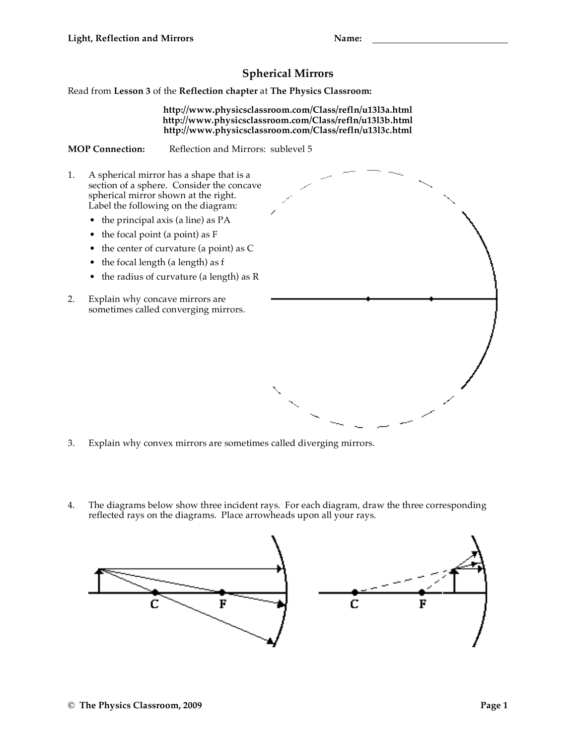## **Spherical Mirrors**

Read from **Lesson 3** of the **Reflection chapter** at **The Physics Classroom:**

**http://www.physicsclassroom.com/Class/refln/u13l3a.html http://www.physicsclassroom.com/Class/refln/u13l3b.html http://www.physicsclassroom.com/Class/refln/u13l3c.html**

**MOP Connection:** Reflection and Mirrors: sublevel 5

- 1. A spherical mirror has a shape that is a section of a sphere. Consider the concave spherical mirror shown at the right. Label the following on the diagram:
	- the principal axis (a line) as PA
	- the focal point (a point) as F
	- the center of curvature (a point) as C
	- the focal length (a length) as f
	- the radius of curvature (a length) as R
- 2. Explain why concave mirrors are sometimes called converging mirrors.



- 3. Explain why convex mirrors are sometimes called diverging mirrors.
- 4. The diagrams below show three incident rays. For each diagram, draw the three corresponding reflected rays on the diagrams. Place arrowheads upon all your rays.